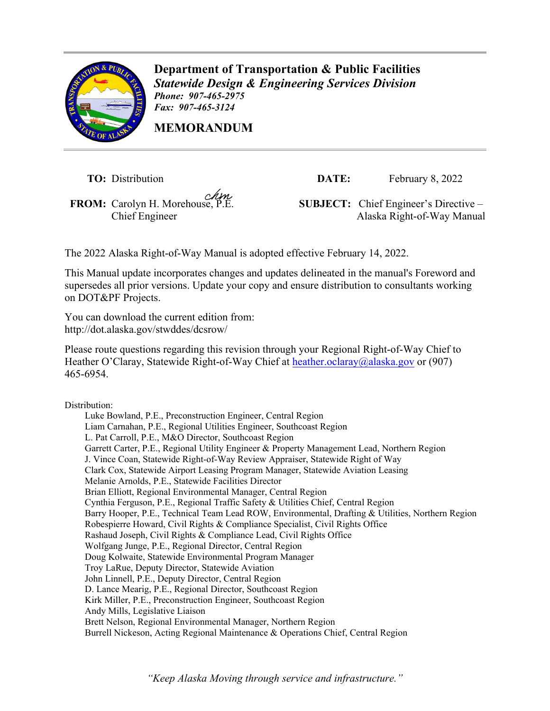

**Department of Transportation & Public Facilities** *Statewide Design & Engineering Services Division Phone: 907-465-2975 Fax: 907-465-3124*

**MEMORANDUM**

**TO:** Distribution

**FROM:** Carolyn H. Morehouse, P.E.

**DATE:** February 8, 2022

**SUBJECT:** Chief Engineer's Directive – Chief Engineer **Alaska** Right-of-Way Manual

The 2022 Alaska Right-of-Way Manual is adopted effective February 14, 2022.

This Manual update incorporates changes and updates delineated in the manual's Foreword and supersedes all prior versions. Update your copy and ensure distribution to consultants working on DOT&PF Projects.

You can download the current edition from: <http://dot.alaska.gov/stwddes/dcsrow/>

Please route questions regarding this revision through your Regional Right-of-Way Chief to Heather O'Claray, Statewide Right-of-Way Chief at [heather.oclaray@alaska.gov](mailto:heather.oclaray@alaska.gov) or (907) 465-6954.

Distribution:

Luke Bowland, P.E., Preconstruction Engineer, Central Region Liam Carnahan, P.E., Regional Utilities Engineer, Southcoast Region L. Pat Carroll, P.E., M&O Director, Southcoast Region Garrett Carter, P.E., Regional Utility Engineer & Property Management Lead, Northern Region J. Vince Coan, Statewide Right-of-Way Review Appraiser, Statewide Right of Way Clark Cox, Statewide Airport Leasing Program Manager, Statewide Aviation Leasing Melanie Arnolds, P.E., Statewide Facilities Director Brian Elliott, Regional Environmental Manager, Central Region Cynthia Ferguson, P.E., Regional Traffic Safety & Utilities Chief, Central Region Barry Hooper, P.E., Technical Team Lead ROW, Environmental, Drafting & Utilities, Northern Region Robespierre Howard, Civil Rights & Compliance Specialist, Civil Rights Office Rashaud Joseph, Civil Rights & Compliance Lead, Civil Rights Office Wolfgang Junge, P.E., Regional Director, Central Region Doug Kolwaite, Statewide Environmental Program Manager Troy LaRue, Deputy Director, Statewide Aviation John Linnell, P.E., Deputy Director, Central Region D. Lance Mearig, P.E., Regional Director, Southcoast Region Kirk Miller, P.E., Preconstruction Engineer, Southcoast Region Andy Mills, Legislative Liaison Brett Nelson, Regional Environmental Manager, Northern Region Burrell Nickeson, Acting Regional Maintenance & Operations Chief, Central Region

*"Keep Alaska Moving through service and infrastructure."*